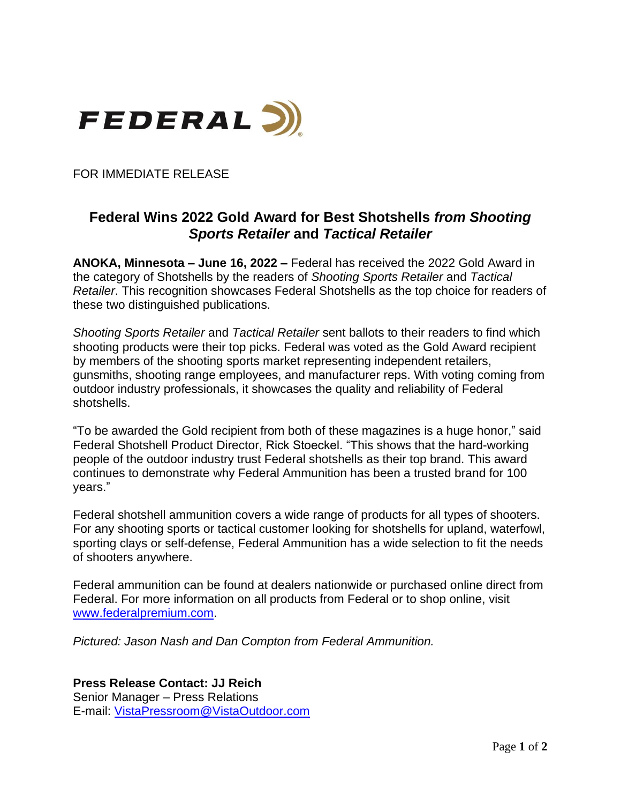

FOR IMMEDIATE RELEASE

## **Federal Wins 2022 Gold Award for Best Shotshells** *from Shooting Sports Retailer* **and** *Tactical Retailer*

**ANOKA, Minnesota – June 16, 2022 –** Federal has received the 2022 Gold Award in the category of Shotshells by the readers of *Shooting Sports Retailer* and *Tactical Retailer*. This recognition showcases Federal Shotshells as the top choice for readers of these two distinguished publications.

*Shooting Sports Retailer* and *Tactical Retailer* sent ballots to their readers to find which shooting products were their top picks. Federal was voted as the Gold Award recipient by members of the shooting sports market representing independent retailers, gunsmiths, shooting range employees, and manufacturer reps. With voting coming from outdoor industry professionals, it showcases the quality and reliability of Federal shotshells.

"To be awarded the Gold recipient from both of these magazines is a huge honor," said Federal Shotshell Product Director, Rick Stoeckel. "This shows that the hard-working people of the outdoor industry trust Federal shotshells as their top brand. This award continues to demonstrate why Federal Ammunition has been a trusted brand for 100 years."

Federal shotshell ammunition covers a wide range of products for all types of shooters. For any shooting sports or tactical customer looking for shotshells for upland, waterfowl, sporting clays or self-defense, Federal Ammunition has a wide selection to fit the needs of shooters anywhere.

Federal ammunition can be found at dealers nationwide or purchased online direct from Federal. For more information on all products from Federal or to shop online, visit [www.federalpremium.com.](http://www.federalpremium.com/)

*Pictured: Jason Nash and Dan Compton from Federal Ammunition.*

**Press Release Contact: JJ Reich**

Senior Manager – Press Relations E-mail: [VistaPressroom@VistaOutdoor.com](mailto:VistaPressroom@VistaOutdoor.com)